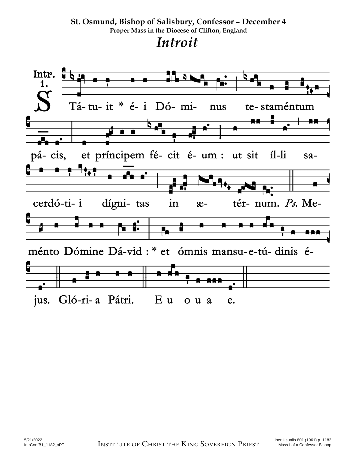#### **St. Osmund, Bishop of Salisbury, Confessor – December 4 Proper Mass in the Diocese of Clifton, England**  *Introit*

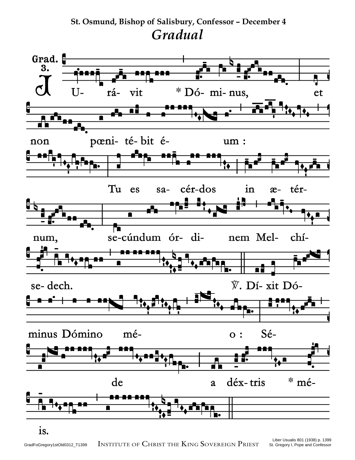### **St. Osmund, Bishop of Salisbury, Confessor – December 4**  *Gradual*

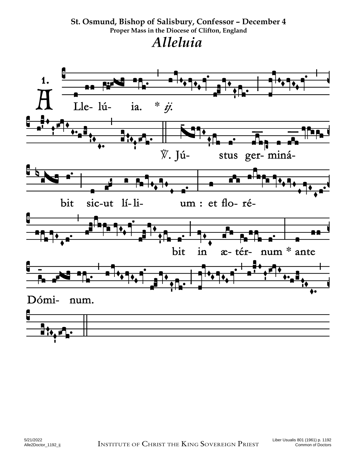#### St. Osmund, Bishop of Salisbury, Confessor - December 4 Proper Mass in the Diocese of Clifton, England Alleluia

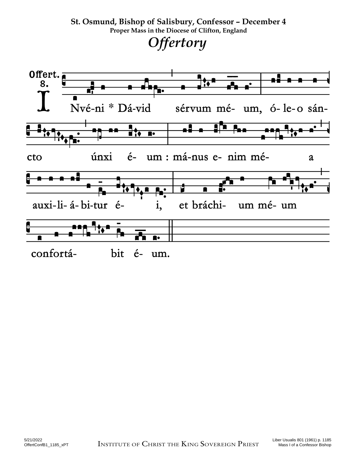# **St. Osmund, Bishop of Salisbury, Confessor – December 4 Proper Mass in the Diocese of Clifton, England**